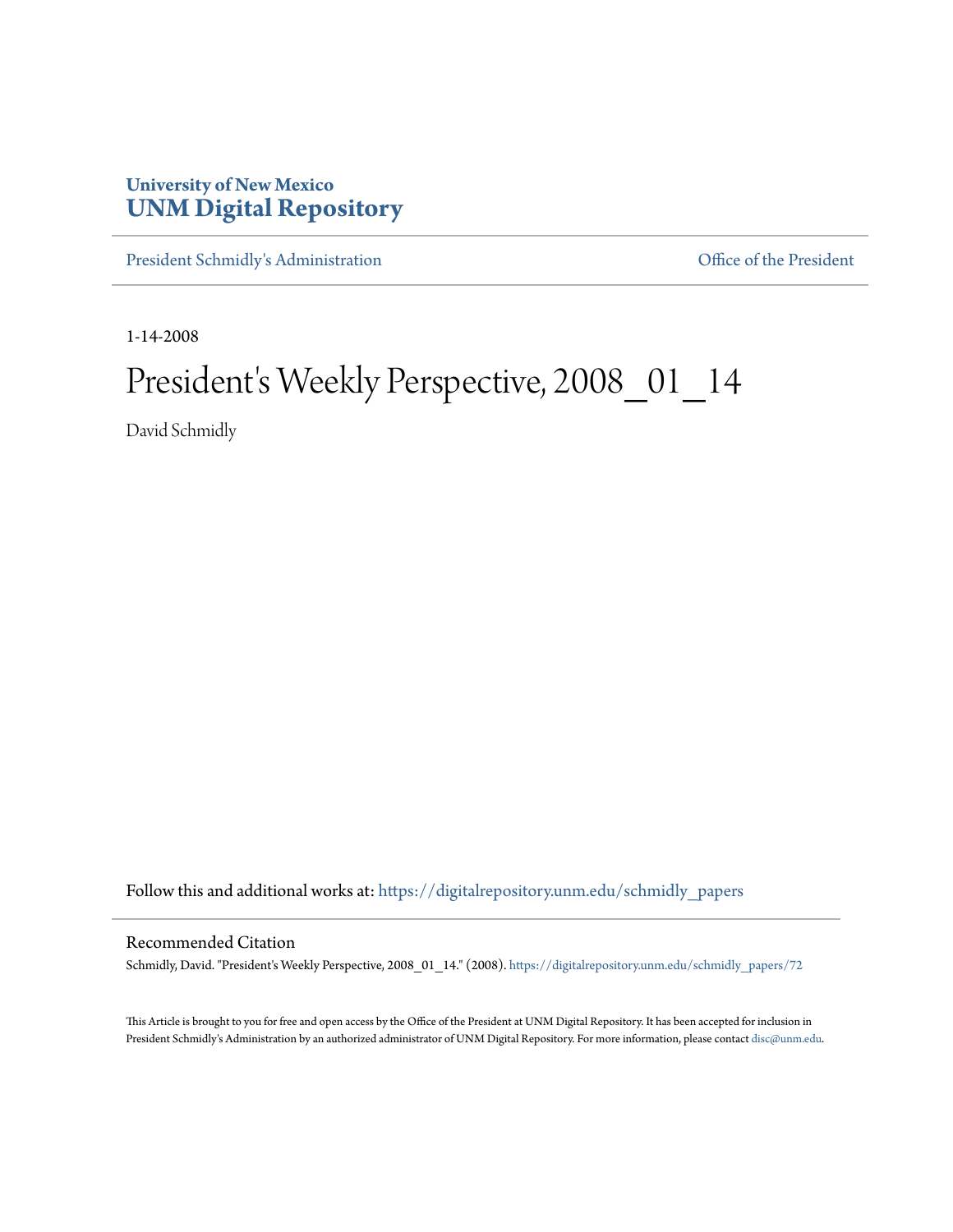## **University of New Mexico [UNM Digital Repository](https://digitalrepository.unm.edu?utm_source=digitalrepository.unm.edu%2Fschmidly_papers%2F72&utm_medium=PDF&utm_campaign=PDFCoverPages)**

[President Schmidly's Administration](https://digitalrepository.unm.edu/schmidly_papers?utm_source=digitalrepository.unm.edu%2Fschmidly_papers%2F72&utm_medium=PDF&utm_campaign=PDFCoverPages) [Office of the President](https://digitalrepository.unm.edu/ofc_president?utm_source=digitalrepository.unm.edu%2Fschmidly_papers%2F72&utm_medium=PDF&utm_campaign=PDFCoverPages)

1-14-2008

## President's Weekly Perspective, 2008\_01\_14

David Schmidly

Follow this and additional works at: [https://digitalrepository.unm.edu/schmidly\\_papers](https://digitalrepository.unm.edu/schmidly_papers?utm_source=digitalrepository.unm.edu%2Fschmidly_papers%2F72&utm_medium=PDF&utm_campaign=PDFCoverPages)

## Recommended Citation

Schmidly, David. "President's Weekly Perspective, 2008\_01\_14." (2008). [https://digitalrepository.unm.edu/schmidly\\_papers/72](https://digitalrepository.unm.edu/schmidly_papers/72?utm_source=digitalrepository.unm.edu%2Fschmidly_papers%2F72&utm_medium=PDF&utm_campaign=PDFCoverPages)

This Article is brought to you for free and open access by the Office of the President at UNM Digital Repository. It has been accepted for inclusion in President Schmidly's Administration by an authorized administrator of UNM Digital Repository. For more information, please contact [disc@unm.edu](mailto:disc@unm.edu).